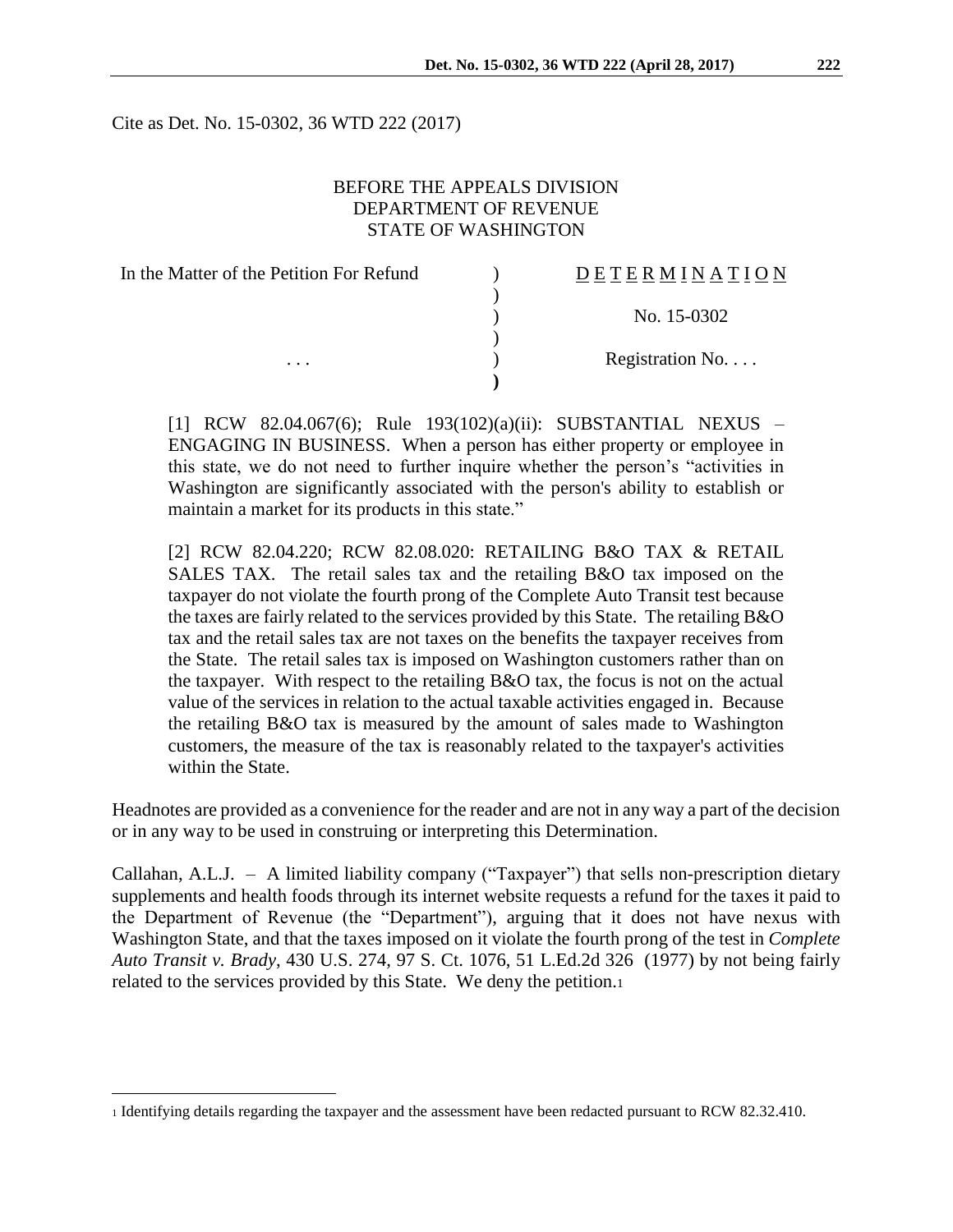Cite as Det. No. 15-0302, 36 WTD 222 (2017)

## BEFORE THE APPEALS DIVISION DEPARTMENT OF REVENUE STATE OF WASHINGTON

| In the Matter of the Petition For Refund | <b>DETERMINATION</b> |
|------------------------------------------|----------------------|
|                                          |                      |
|                                          | No. 15-0302          |
|                                          |                      |
| $\cdots$                                 | Registration No      |
|                                          |                      |

[1] RCW 82.04.067(6); Rule 193(102)(a)(ii): SUBSTANTIAL NEXUS – ENGAGING IN BUSINESS. When a person has either property or employee in this state, we do not need to further inquire whether the person's "activities in Washington are significantly associated with the person's ability to establish or maintain a market for its products in this state."

[2] RCW 82.04.220; RCW 82.08.020: RETAILING B&O TAX & RETAIL SALES TAX. The retail sales tax and the retailing B&O tax imposed on the taxpayer do not violate the fourth prong of the Complete Auto Transit test because the taxes are fairly related to the services provided by this State. The retailing B&O tax and the retail sales tax are not taxes on the benefits the taxpayer receives from the State. The retail sales tax is imposed on Washington customers rather than on the taxpayer. With respect to the retailing B&O tax, the focus is not on the actual value of the services in relation to the actual taxable activities engaged in. Because the retailing B&O tax is measured by the amount of sales made to Washington customers, the measure of the tax is reasonably related to the taxpayer's activities within the State.

Headnotes are provided as a convenience for the reader and are not in any way a part of the decision or in any way to be used in construing or interpreting this Determination.

Callahan, A.L.J. – A limited liability company ("Taxpayer") that sells non-prescription dietary supplements and health foods through its internet website requests a refund for the taxes it paid to the Department of Revenue (the "Department"), arguing that it does not have nexus with Washington State, and that the taxes imposed on it violate the fourth prong of the test in *Complete Auto Transit v. Brady*, 430 U.S. 274, 97 S. Ct. 1076, 51 L.Ed.2d 326 (1977) by not being fairly related to the services provided by this State. We deny the petition.<sup>1</sup>

<sup>1</sup> Identifying details regarding the taxpayer and the assessment have been redacted pursuant to RCW 82.32.410.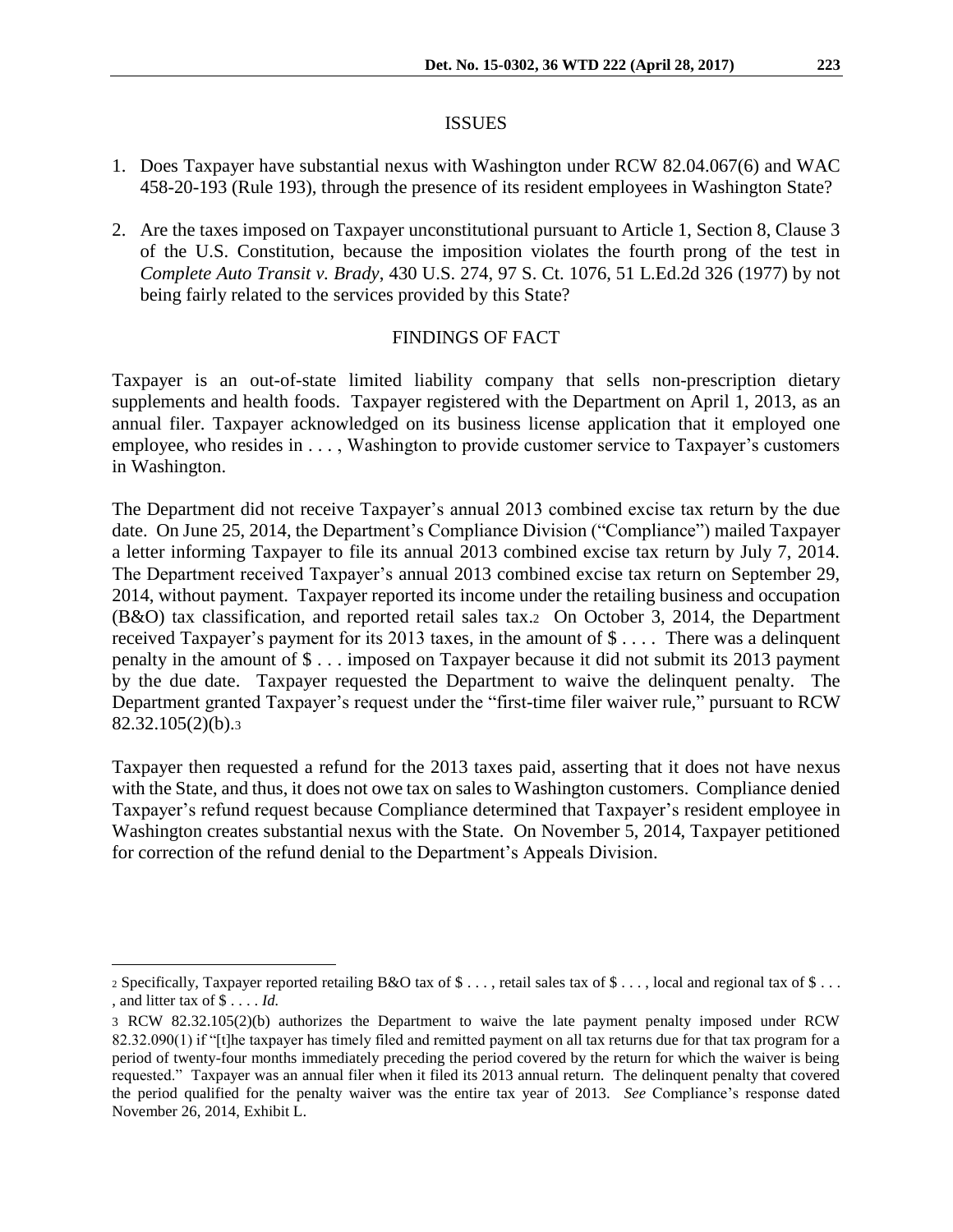#### ISSUES

- 1. Does Taxpayer have substantial nexus with Washington under RCW 82.04.067(6) and WAC 458-20-193 (Rule 193), through the presence of its resident employees in Washington State?
- 2. Are the taxes imposed on Taxpayer unconstitutional pursuant to Article 1, Section 8, Clause 3 of the U.S. Constitution, because the imposition violates the fourth prong of the test in *Complete Auto Transit v. Brady*, 430 U.S. 274, 97 S. Ct. 1076, 51 L.Ed.2d 326 (1977) by not being fairly related to the services provided by this State?

#### FINDINGS OF FACT

Taxpayer is an out-of-state limited liability company that sells non-prescription dietary supplements and health foods. Taxpayer registered with the Department on April 1, 2013, as an annual filer. Taxpayer acknowledged on its business license application that it employed one employee, who resides in . . . , Washington to provide customer service to Taxpayer's customers in Washington.

The Department did not receive Taxpayer's annual 2013 combined excise tax return by the due date. On June 25, 2014, the Department's Compliance Division ("Compliance") mailed Taxpayer a letter informing Taxpayer to file its annual 2013 combined excise tax return by July 7, 2014. The Department received Taxpayer's annual 2013 combined excise tax return on September 29, 2014, without payment. Taxpayer reported its income under the retailing business and occupation (B&O) tax classification, and reported retail sales tax.2 On October 3, 2014, the Department received Taxpayer's payment for its 2013 taxes, in the amount of \$ . . . . There was a delinquent penalty in the amount of \$ . . . imposed on Taxpayer because it did not submit its 2013 payment by the due date. Taxpayer requested the Department to waive the delinquent penalty. The Department granted Taxpayer's request under the "first-time filer waiver rule," pursuant to RCW 82.32.105(2)(b).<sup>3</sup>

Taxpayer then requested a refund for the 2013 taxes paid, asserting that it does not have nexus with the State, and thus, it does not owe tax on sales to Washington customers. Compliance denied Taxpayer's refund request because Compliance determined that Taxpayer's resident employee in Washington creates substantial nexus with the State. On November 5, 2014, Taxpayer petitioned for correction of the refund denial to the Department's Appeals Division.

<sup>2</sup> Specifically, Taxpayer reported retailing B&O tax of \$ . . . , retail sales tax of \$ . . . , local and regional tax of \$ . . . , and litter tax of \$ . . . . *Id.*

<sup>3</sup> RCW 82.32.105(2)(b) authorizes the Department to waive the late payment penalty imposed under RCW 82.32.090(1) if "[t]he taxpayer has timely filed and remitted payment on all tax returns due for that tax program for a period of twenty-four months immediately preceding the period covered by the return for which the waiver is being requested." Taxpayer was an annual filer when it filed its 2013 annual return. The delinquent penalty that covered the period qualified for the penalty waiver was the entire tax year of 2013. *See* Compliance's response dated November 26, 2014, Exhibit L.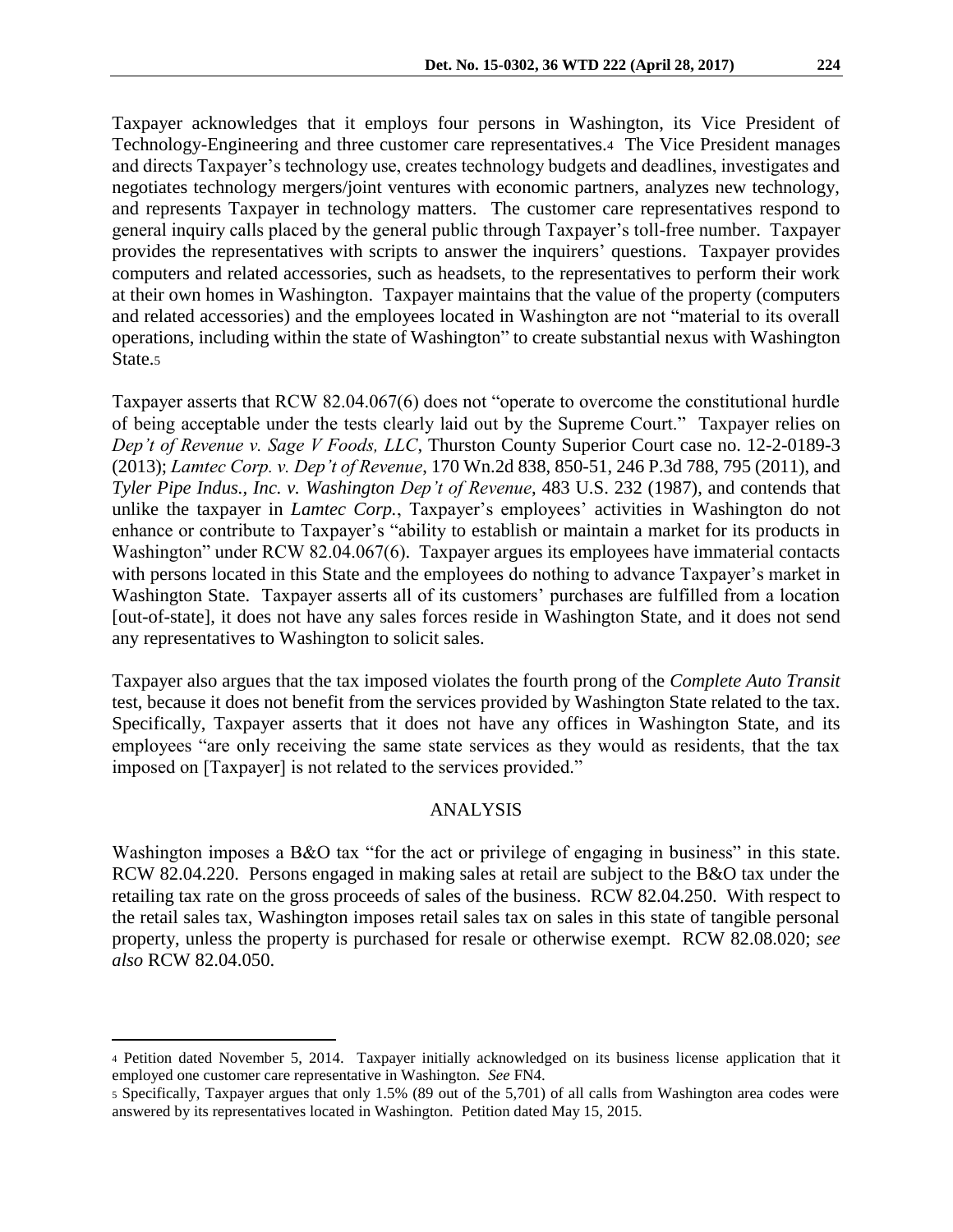Taxpayer acknowledges that it employs four persons in Washington, its Vice President of Technology-Engineering and three customer care representatives.4 The Vice President manages and directs Taxpayer's technology use, creates technology budgets and deadlines, investigates and negotiates technology mergers/joint ventures with economic partners, analyzes new technology, and represents Taxpayer in technology matters. The customer care representatives respond to general inquiry calls placed by the general public through Taxpayer's toll-free number. Taxpayer provides the representatives with scripts to answer the inquirers' questions. Taxpayer provides computers and related accessories, such as headsets, to the representatives to perform their work at their own homes in Washington. Taxpayer maintains that the value of the property (computers and related accessories) and the employees located in Washington are not "material to its overall operations, including within the state of Washington" to create substantial nexus with Washington State.<sub>5</sub>

Taxpayer asserts that RCW 82.04.067(6) does not "operate to overcome the constitutional hurdle of being acceptable under the tests clearly laid out by the Supreme Court." Taxpayer relies on *Dep't of Revenue v. Sage V Foods, LLC*, Thurston County Superior Court case no. 12-2-0189-3 (2013); *Lamtec Corp. v. Dep't of Revenue*, 170 Wn.2d 838, 850-51, 246 P.3d 788, 795 (2011), and *Tyler Pipe Indus., Inc. v. Washington Dep't of Revenue*, 483 U.S. 232 (1987), and contends that unlike the taxpayer in *Lamtec Corp.*, Taxpayer's employees' activities in Washington do not enhance or contribute to Taxpayer's "ability to establish or maintain a market for its products in Washington" under RCW 82.04.067(6). Taxpayer argues its employees have immaterial contacts with persons located in this State and the employees do nothing to advance Taxpayer's market in Washington State. Taxpayer asserts all of its customers' purchases are fulfilled from a location [out-of-state], it does not have any sales forces reside in Washington State, and it does not send any representatives to Washington to solicit sales.

Taxpayer also argues that the tax imposed violates the fourth prong of the *Complete Auto Transit*  test, because it does not benefit from the services provided by Washington State related to the tax. Specifically, Taxpayer asserts that it does not have any offices in Washington State, and its employees "are only receiving the same state services as they would as residents, that the tax imposed on [Taxpayer] is not related to the services provided."

## ANALYSIS

Washington imposes a B&O tax "for the act or privilege of engaging in business" in this state. RCW 82.04.220. Persons engaged in making sales at retail are subject to the B&O tax under the retailing tax rate on the gross proceeds of sales of the business. RCW 82.04.250. With respect to the retail sales tax, Washington imposes retail sales tax on sales in this state of tangible personal property, unless the property is purchased for resale or otherwise exempt. RCW 82.08.020; *see also* RCW 82.04.050.

<sup>4</sup> Petition dated November 5, 2014. Taxpayer initially acknowledged on its business license application that it employed one customer care representative in Washington. *See* FN4.

<sup>5</sup> Specifically, Taxpayer argues that only 1.5% (89 out of the 5,701) of all calls from Washington area codes were answered by its representatives located in Washington. Petition dated May 15, 2015.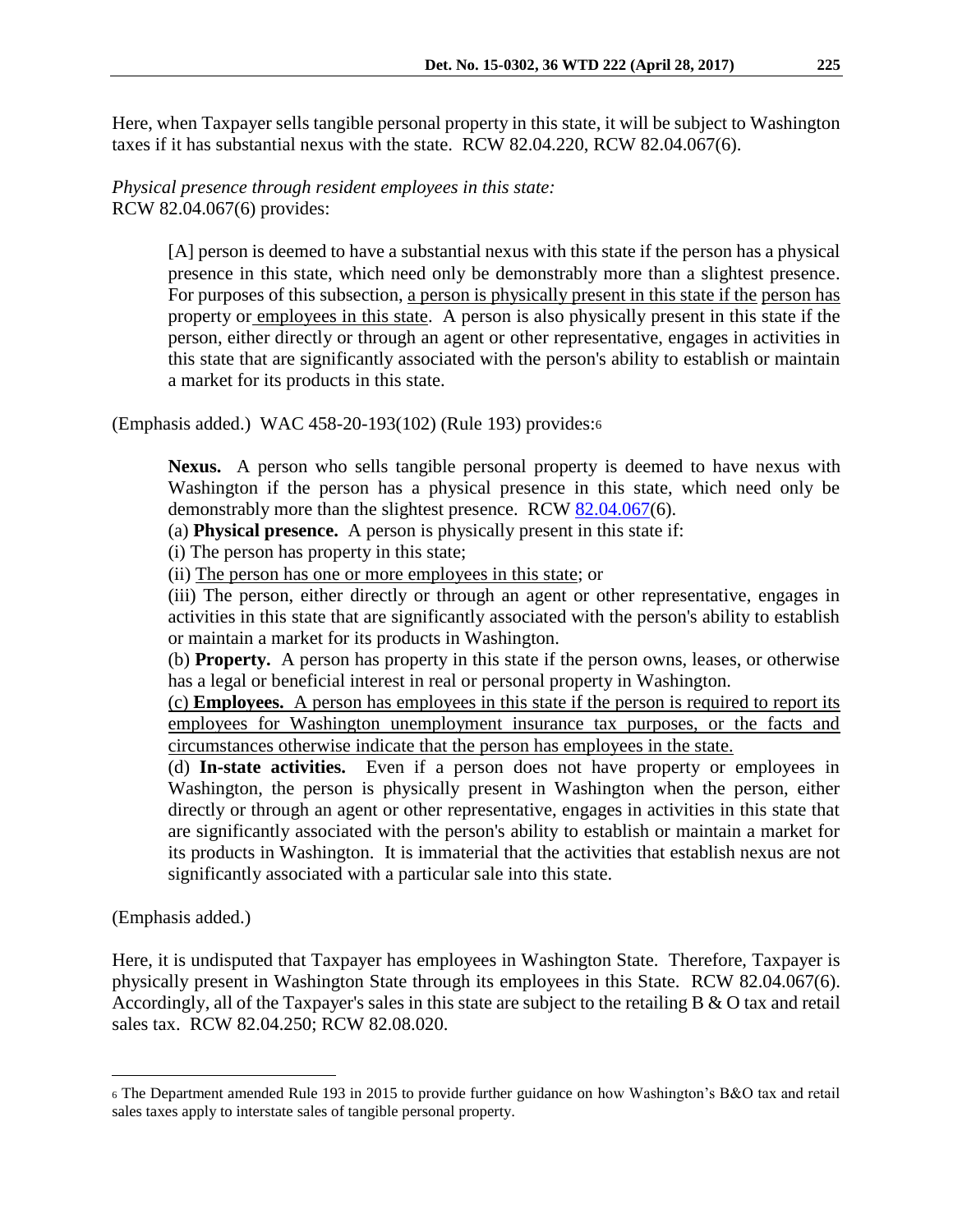Here, when Taxpayer sells tangible personal property in this state, it will be subject to Washington taxes if it has substantial nexus with the state. RCW 82.04.220, RCW 82.04.067(6).

*Physical presence through resident employees in this state:* RCW 82.04.067(6) provides:

> [A] person is deemed to have a substantial nexus with this state if the person has a physical presence in this state, which need only be demonstrably more than a slightest presence. For purposes of this subsection, a person is physically present in this state if the person has property or employees in this state. A person is also physically present in this state if the person, either directly or through an agent or other representative, engages in activities in this state that are significantly associated with the person's ability to establish or maintain a market for its products in this state.

(Emphasis added.) WAC 458-20-193(102) (Rule 193) provides:<sup>6</sup>

**Nexus.** A person who sells tangible personal property is deemed to have nexus with Washington if the person has a physical presence in this state, which need only be demonstrably more than the slightest presence. RCW [82.04.067\(](http://app.leg.wa.gov/RCW/default.aspx?cite=82.04.067)6).

(a) **Physical presence.** A person is physically present in this state if:

(i) The person has property in this state;

(ii) The person has one or more employees in this state; or

(iii) The person, either directly or through an agent or other representative, engages in activities in this state that are significantly associated with the person's ability to establish or maintain a market for its products in Washington.

(b) **Property.** A person has property in this state if the person owns, leases, or otherwise has a legal or beneficial interest in real or personal property in Washington.

(c) **Employees.** A person has employees in this state if the person is required to report its employees for Washington unemployment insurance tax purposes, or the facts and circumstances otherwise indicate that the person has employees in the state.

(d) **In-state activities.** Even if a person does not have property or employees in Washington, the person is physically present in Washington when the person, either directly or through an agent or other representative, engages in activities in this state that are significantly associated with the person's ability to establish or maintain a market for its products in Washington. It is immaterial that the activities that establish nexus are not significantly associated with a particular sale into this state.

(Emphasis added.)

 $\overline{a}$ 

Here, it is undisputed that Taxpayer has employees in Washington State. Therefore, Taxpayer is physically present in Washington State through its employees in this State. RCW 82.04.067(6). Accordingly, all of the Taxpayer's sales in this state are subject to the retailing B & O tax and retail sales tax. RCW 82.04.250; RCW 82.08.020.

<sup>6</sup> The Department amended Rule 193 in 2015 to provide further guidance on how Washington's B&O tax and retail sales taxes apply to interstate sales of tangible personal property.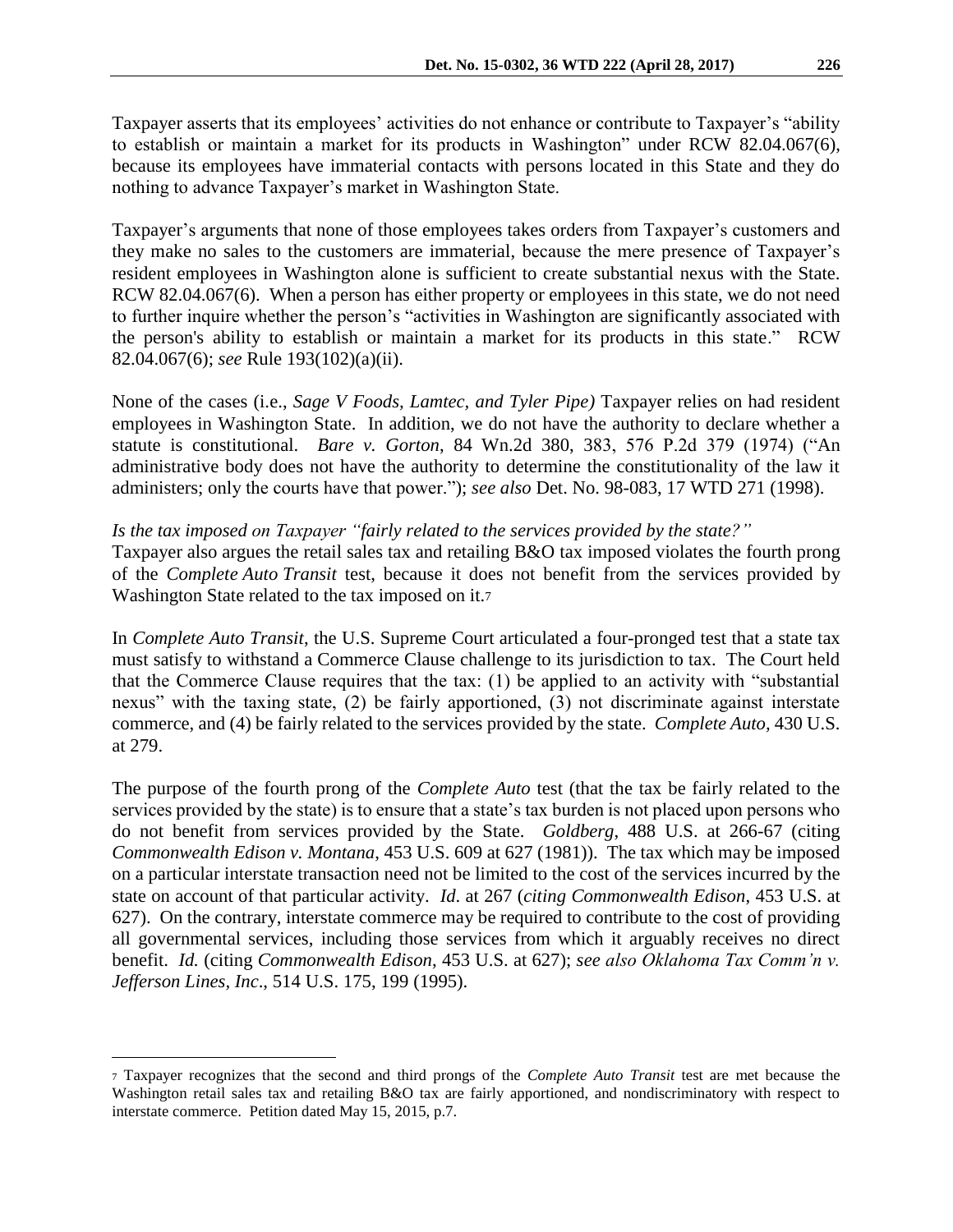Taxpayer's arguments that none of those employees takes orders from Taxpayer's customers and they make no sales to the customers are immaterial, because the mere presence of Taxpayer's resident employees in Washington alone is sufficient to create substantial nexus with the State. RCW 82.04.067(6). When a person has either property or employees in this state, we do not need to further inquire whether the person's "activities in Washington are significantly associated with the person's ability to establish or maintain a market for its products in this state." RCW 82.04.067(6); *see* Rule 193(102)(a)(ii).

None of the cases (i.e., *Sage V Foods, Lamtec, and Tyler Pipe)* Taxpayer relies on had resident employees in Washington State. In addition, we do not have the authority to declare whether a statute is constitutional. *Bare v. Gorton*, 84 Wn.2d 380, 383, 576 P.2d 379 (1974) ("An administrative body does not have the authority to determine the constitutionality of the law it administers; only the courts have that power."); *see also* Det. No. 98-083, 17 WTD 271 (1998).

### *Is the tax imposed on Taxpayer "fairly related to the services provided by the state?"*

Taxpayer also argues the retail sales tax and retailing B&O tax imposed violates the fourth prong of the *Complete Auto Transit* test, because it does not benefit from the services provided by Washington State related to the tax imposed on it.<sup>7</sup>

In *Complete Auto Transit*, the U.S. Supreme Court articulated a four-pronged test that a state tax must satisfy to withstand a Commerce Clause challenge to its jurisdiction to tax. The Court held that the Commerce Clause requires that the tax: (1) be applied to an activity with "substantial nexus" with the taxing state, (2) be fairly apportioned, (3) not discriminate against interstate commerce, and (4) be fairly related to the services provided by the state. *Complete Auto,* 430 U.S. at 279.

The purpose of the fourth prong of the *Complete Auto* test (that the tax be fairly related to the services provided by the state) is to ensure that a state's tax burden is not placed upon persons who do not benefit from services provided by the State. *Goldberg*, 488 U.S. at 266-67 (citing *Commonwealth Edison v. Montana*, 453 U.S. 609 at 627 (1981)). The tax which may be imposed on a particular interstate transaction need not be limited to the cost of the services incurred by the state on account of that particular activity. *Id*. at 267 (*citing Commonwealth Edison*, 453 U.S. at 627). On the contrary, interstate commerce may be required to contribute to the cost of providing all governmental services, including those services from which it arguably receives no direct benefit. *Id.* (citing *Commonwealth Edison*, 453 U.S. at 627); *see also Oklahoma Tax Comm'n v. Jefferson Lines, Inc*., 514 U.S. 175, 199 (1995).

<sup>7</sup> Taxpayer recognizes that the second and third prongs of the *Complete Auto Transit* test are met because the Washington retail sales tax and retailing B&O tax are fairly apportioned, and nondiscriminatory with respect to interstate commerce. Petition dated May 15, 2015, p.7.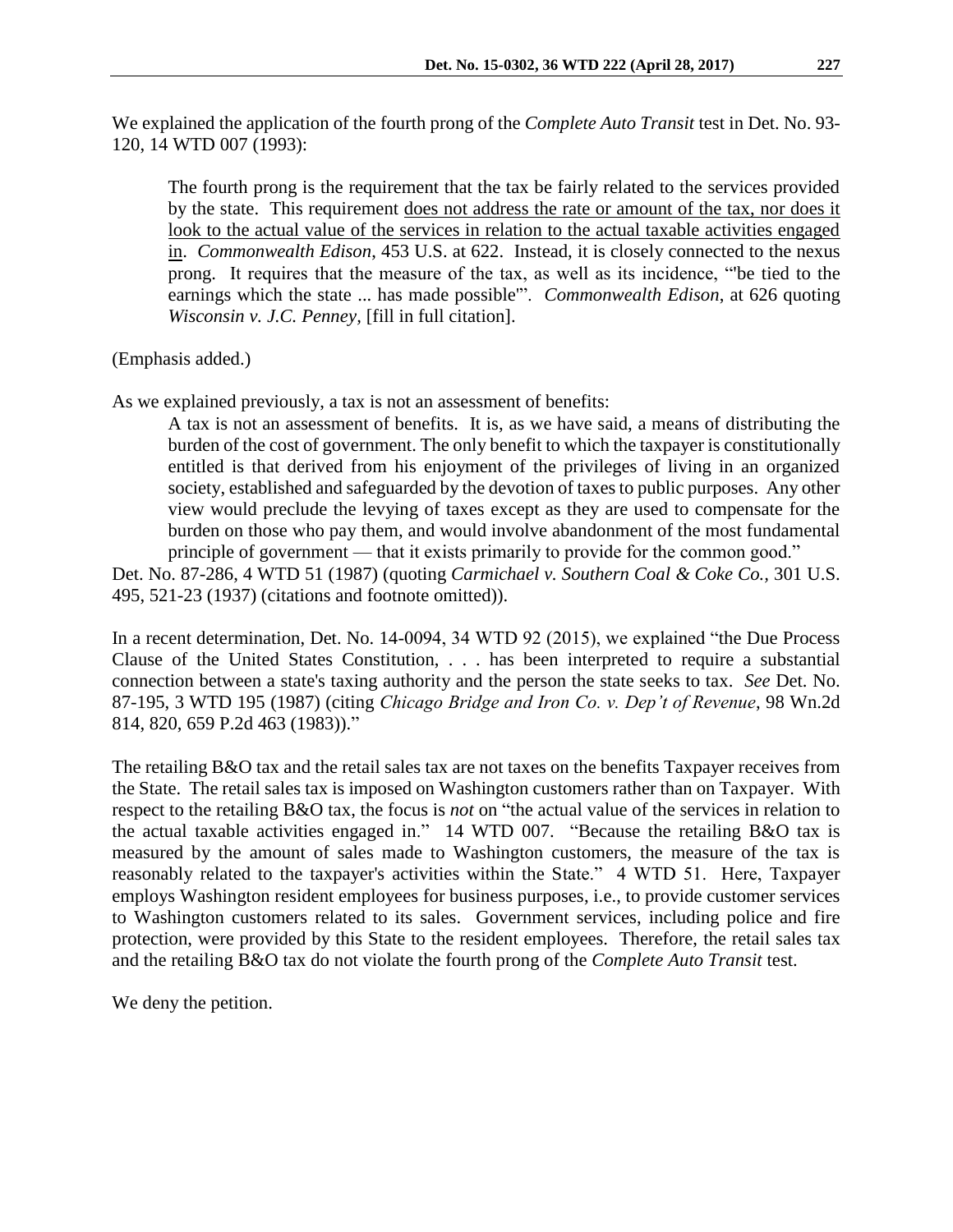We explained the application of the fourth prong of the *Complete Auto Transit* test in Det. No. 93- 120, 14 WTD 007 (1993):

The fourth prong is the requirement that the tax be fairly related to the services provided by the state. This requirement does not address the rate or amount of the tax, nor does it look to the actual value of the services in relation to the actual taxable activities engaged in. *Commonwealth Edison*, 453 U.S. at 622. Instead, it is closely connected to the nexus prong. It requires that the measure of the tax, as well as its incidence, "'be tied to the earnings which the state ... has made possible'". *Commonwealth Edison*, at 626 quoting *Wisconsin v. J.C. Penney,* [fill in full citation].

(Emphasis added.)

As we explained previously, a tax is not an assessment of benefits:

A tax is not an assessment of benefits. It is, as we have said, a means of distributing the burden of the cost of government. The only benefit to which the taxpayer is constitutionally entitled is that derived from his enjoyment of the privileges of living in an organized society, established and safeguarded by the devotion of taxes to public purposes. Any other view would preclude the levying of taxes except as they are used to compensate for the burden on those who pay them, and would involve abandonment of the most fundamental principle of government — that it exists primarily to provide for the common good."

Det. No. 87-286, 4 WTD 51 (1987) (quoting *Carmichael v. Southern Coal & Coke Co.,* 301 U.S. 495, 521-23 (1937) (citations and footnote omitted)).

In a recent determination, Det. No. 14-0094, 34 WTD 92 (2015), we explained "the Due Process Clause of the United States Constitution, . . . has been interpreted to require a substantial connection between a state's taxing authority and the person the state seeks to tax. *See* Det. No. 87-195, 3 WTD 195 (1987) (citing *Chicago Bridge and Iron Co. v. Dep't of Revenue*, 98 Wn.2d 814, 820, 659 P.2d 463 (1983))."

The retailing B&O tax and the retail sales tax are not taxes on the benefits Taxpayer receives from the State. The retail sales tax is imposed on Washington customers rather than on Taxpayer. With respect to the retailing B&O tax, the focus is *not* on "the actual value of the services in relation to the actual taxable activities engaged in." 14 WTD 007. "Because the retailing B&O tax is measured by the amount of sales made to Washington customers, the measure of the tax is reasonably related to the taxpayer's activities within the State." 4 WTD 51. Here, Taxpayer employs Washington resident employees for business purposes, i.e., to provide customer services to Washington customers related to its sales. Government services, including police and fire protection, were provided by this State to the resident employees. Therefore, the retail sales tax and the retailing B&O tax do not violate the fourth prong of the *Complete Auto Transit* test.

We deny the petition.